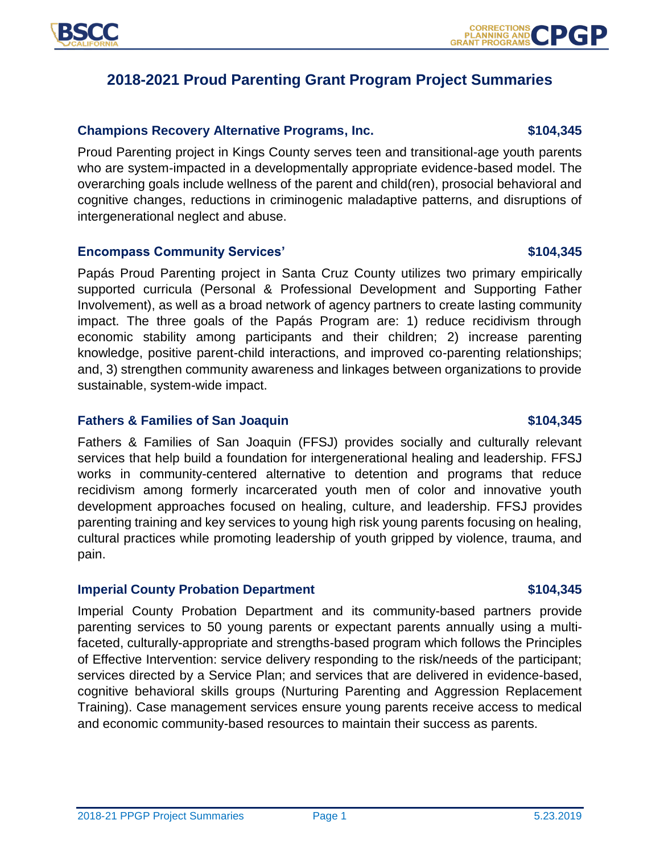

# **2018-2021 Proud Parenting Grant Program Project Summaries**

### **Champions Recovery Alternative Programs, Inc. \$104,345**

Proud Parenting project in Kings County serves teen and transitional-age youth parents who are system-impacted in a developmentally appropriate evidence-based model. The overarching goals include wellness of the parent and child(ren), prosocial behavioral and cognitive changes, reductions in criminogenic maladaptive patterns, and disruptions of intergenerational neglect and abuse.

### Encompass Community Services' **104,345**

Papás Proud Parenting project in Santa Cruz County utilizes two primary empirically supported curricula (Personal & Professional Development and Supporting Father Involvement), as well as a broad network of agency partners to create lasting community impact. The three goals of the Papás Program are: 1) reduce recidivism through economic stability among participants and their children; 2) increase parenting knowledge, positive parent-child interactions, and improved co-parenting relationships; and, 3) strengthen community awareness and linkages between organizations to provide sustainable, system-wide impact.

### **Fathers & Families of San Joaquin \$104,345**

Fathers & Families of San Joaquin (FFSJ) provides socially and culturally relevant services that help build a foundation for intergenerational healing and leadership. FFSJ works in community-centered alternative to detention and programs that reduce recidivism among formerly incarcerated youth men of color and innovative youth development approaches focused on healing, culture, and leadership. FFSJ provides parenting training and key services to young high risk young parents focusing on healing, cultural practices while promoting leadership of youth gripped by violence, trauma, and pain.

### **Imperial County Probation Department \$104,345**

Imperial County Probation Department and its community-based partners provide parenting services to 50 young parents or expectant parents annually using a multifaceted, culturally-appropriate and strengths-based program which follows the Principles of Effective Intervention: service delivery responding to the risk/needs of the participant; services directed by a Service Plan; and services that are delivered in evidence-based, cognitive behavioral skills groups (Nurturing Parenting and Aggression Replacement Training). Case management services ensure young parents receive access to medical and economic community-based resources to maintain their success as parents.